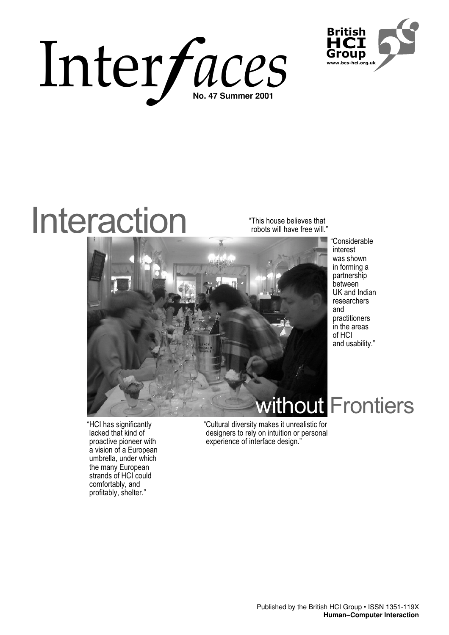



# Interaction

"This house believes that robots will have free will."



"Considerable interest was shown in forming a partnership between UK and Indian researchers and practitioners in the areas of HCI and usability."

"HCI has significantly lacked that kind of proactive pioneer with a vision of a European umbrella, under which the many European strands of HCI could comfortably, and profitably, shelter*.*"

"Cultural diversity makes it unrealistic for designers to rely on intuition or personal experience of interface design."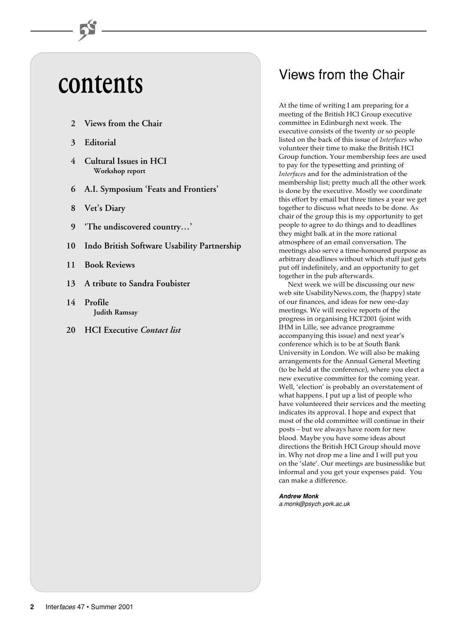# **contents**

- **2 Views from the Chair**
- **3 Editorial**
- **4 Cultural Issues in HCI Workshop report**
- **6 A.I. Symposium 'Feats and Frontiers'**
- **8 Vet's Diary**
- **9 'The undiscovered country…'**
- **10 Indo British Software Usability Partnership**
- **11 Book Reviews**
- **13 A tribute to Sandra Foubister**
- **14 Profile Judith Ramsay**
- **20 HCI Executive** *Contact list*

## Views from the Chair

At the time of writing I am preparing for a meeting of the British HCI Group executive committee in Edinburgh next week. The executive consists of the twenty or so people listed on the back of this issue of *Interfaces* who volunteer their time to make the British HCI Group function. Your membership fees are used to pay for the typesetting and printing of *Interfaces* and for the administration of the membership list; pretty much all the other work is done by the executive. Mostly we coordinate this effort by email but three times a year we get together to discuss what needs to be done. As chair of the group this is my opportunity to get people to agree to do things and to deadlines they might balk at in the more rational atmosphere of an email conversation. The meetings also serve a time-honoured purpose as arbitrary deadlines without which stuff just gets put off indefinitely, and an opportunity to get together in the pub afterwards.

Next week we will be discussing our new web site UsabilityNews.com, the (happy) state of our finances, and ideas for new one-day meetings. We will receive reports of the progress in organising HCI'2001 (joint with IHM in Lille, see advance programme accompanying this issue) and next year's conference which is to be at South Bank University in London. We will also be making arrangements for the Annual General Meeting (to be held at the conference), where you elect a new executive committee for the coming year. Well, 'election' is probably an overstatement of what happens. I put up a list of people who have volunteered their services and the meeting indicates its approval. I hope and expect that most of the old committee will continue in their posts – but we always have room for new blood. Maybe you have some ideas about directions the British HCI Group should move in. Why not drop me a line and I will put you on the 'slate'. Our meetings are businesslike but informal and you get your expenses paid. You can make a difference.

**Andrew Monk**

a.monk@psych.york.ac.uk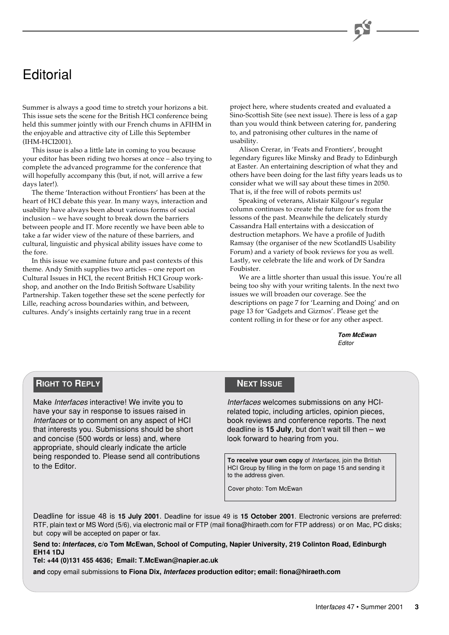### **Editorial**

Summer is always a good time to stretch your horizons a bit. This issue sets the scene for the British HCI conference being held this summer jointly with our French chums in AFIHM in the enjoyable and attractive city of Lille this September (IHM-HCI2001).

This issue is also a little late in coming to you because your editor has been riding two horses at once – also trying to complete the advanced programme for the conference that will hopefully accompany this (but, if not, will arrive a few days later!).

The theme 'Interaction without Frontiers' has been at the heart of HCI debate this year. In many ways, interaction and usability have always been about various forms of social inclusion – we have sought to break down the barriers between people and IT. More recently we have been able to take a far wider view of the nature of these barriers, and cultural, linguistic and physical ability issues have come to the fore.

In this issue we examine future and past contexts of this theme. Andy Smith supplies two articles – one report on Cultural Issues in HCI, the recent British HCI Group workshop, and another on the Indo British Software Usability Partnership. Taken together these set the scene perfectly for Lille, reaching across boundaries within, and between, cultures. Andy's insights certainly rang true in a recent

project here, where students created and evaluated a Sino-Scottish Site (see next issue). There is less of a gap than you would think between catering for, pandering to, and patronising other cultures in the name of usability.

Alison Crerar, in 'Feats and Frontiers', brought legendary figures like Minsky and Brady to Edinburgh at Easter. An entertaining description of what they and others have been doing for the last fifty years leads us to consider what we will say about these times in 2050. That is, if the free will of robots permits us!

Speaking of veterans, Alistair Kilgour's regular column continues to create the future for us from the lessons of the past. Meanwhile the delicately sturdy Cassandra Hall entertains with a desiccation of destruction metaphors. We have a profile of Judith Ramsay (the organiser of the new ScotlandIS Usability Forum) and a variety of book reviews for you as well. Lastly, we celebrate the life and work of Dr Sandra Foubister.

We are a little shorter than usual this issue. You're all being too shy with your writing talents. In the next two issues we will broaden our coverage. See the descriptions on page 7 for 'Learning and Doing' and on page 13 for 'Gadgets and Gizmos'. Please get the content rolling in for these or for any other aspect.

> **Tom McEwan** Editor

#### **RIGHT TO REPLY**

Make Interfaces interactive! We invite you to have your say in response to issues raised in Interfaces or to comment on any aspect of HCI that interests you. Submissions should be short and concise (500 words or less) and, where appropriate, should clearly indicate the article being responded to. Please send all contributions to the Editor.

#### **NEXT ISSUE**

Interfaces welcomes submissions on any HCIrelated topic, including articles, opinion pieces, book reviews and conference reports. The next deadline is **15 July**, but don't wait till then – we look forward to hearing from you.

**To receive your own copy** of Interfaces, join the British HCI Group by filling in the form on page 15 and sending it to the address given.

Cover photo: Tom McEwan

Deadline for issue 48 is **15 July 2001**. Deadline for issue 49 is **15 October 2001**. Electronic versions are preferred: RTF, plain text or MS Word (5/6), via electronic mail or FTP (mail fiona@hiraeth.com for FTP address) or on Mac, PC disks; but copy will be accepted on paper or fax.

**Send to: Interfaces, c/o Tom McEwan, School of Computing, Napier University, 219 Colinton Road, Edinburgh EH14 1DJ**

**Tel: +44 (0)131 455 4636; Email: T.McEwan@napier.ac.uk**

**and** copy email submissions **to Fiona Dix, Interfaces production editor; email: fiona@hiraeth.com**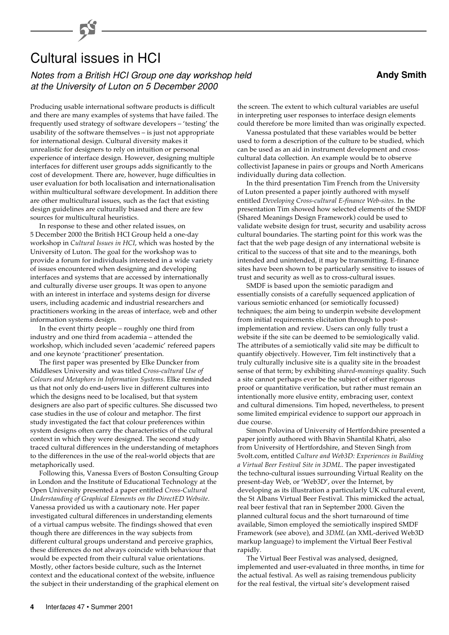## Cultural issues in HCI

Notes from a British HCI Group one day workshop held **Andy Smith Andy Smith** at the University of Luton on 5 December 2000

Producing usable international software products is difficult and there are many examples of systems that have failed. The frequently used strategy of software developers – 'testing' the usability of the software themselves – is just not appropriate for international design. Cultural diversity makes it unrealistic for designers to rely on intuition or personal experience of interface design. However, designing multiple interfaces for different user groups adds significantly to the cost of development. There are, however, huge difficulties in user evaluation for both localisation and internationalisation within multicultural software development. In addition there are other multicultural issues, such as the fact that existing design guidelines are culturally biased and there are few sources for multicultural heuristics.

In response to these and other related issues, on 5 December 2000 the British HCI Group held a one-day workshop in *Cultural Issues in HCI*, which was hosted by the University of Luton. The goal for the workshop was to provide a forum for individuals interested in a wide variety of issues encountered when designing and developing interfaces and systems that are accessed by internationally and culturally diverse user groups. It was open to anyone with an interest in interface and systems design for diverse users, including academic and industrial researchers and practitioners working in the areas of interface, web and other information systems design.

In the event thirty people – roughly one third from industry and one third from academia – attended the workshop, which included seven 'academic' refereed papers and one keynote 'practitioner' presentation.

The first paper was presented by Elke Duncker from Middlesex University and was titled *Cross-cultural Use of Colours and Metaphors in Information Systems*. Elke reminded us that not only do end-users live in different cultures into which the designs need to be localised, but that system designers are also part of specific cultures. She discussed two case studies in the use of colour and metaphor. The first study investigated the fact that colour preferences within system designs often carry the characteristics of the cultural context in which they were designed. The second study traced cultural differences in the understanding of metaphors to the differences in the use of the real-world objects that are metaphorically used.

Following this, Vanessa Evers of Boston Consulting Group in London and the Institute of Educational Technology at the Open University presented a paper entitled *Cross-Cultural Understanding of Graphical Elements on the DirectED Website*. Vanessa provided us with a cautionary note. Her paper investigated cultural differences in understanding elements of a virtual campus website. The findings showed that even though there are differences in the way subjects from different cultural groups understand and perceive graphics, these differences do not always coincide with behaviour that would be expected from their cultural value orientations. Mostly, other factors beside culture, such as the Internet context and the educational context of the website, influence the subject in their understanding of the graphical element on the screen. The extent to which cultural variables are useful in interpreting user responses to interface design elements could therefore be more limited than was originally expected.

Vanessa postulated that these variables would be better used to form a description of the culture to be studied, which can be used as an aid in instrument development and crosscultural data collection. An example would be to observe collectivist Japanese in pairs or groups and North Americans individually during data collection.

In the third presentation Tim French from the University of Luton presented a paper jointly authored with myself entitled *Developing Cross-cultural E-finance Web-sites*. In the presentation Tim showed how selected elements of the SMDF (Shared Meanings Design Framework) could be used to validate website design for trust, security and usability across cultural boundaries. The starting point for this work was the fact that the web page design of any international website is critical to the success of that site and to the meanings, both intended and unintended, it may be transmitting. E-finance sites have been shown to be particularly sensitive to issues of trust and security as well as to cross-cultural issues.

SMDF is based upon the semiotic paradigm and essentially consists of a carefully sequenced application of various semiotic enhanced (or semiotically focussed) techniques; the aim being to underpin website development from initial requirements elicitation through to postimplementation and review. Users can only fully trust a website if the site can be deemed to be semiologically valid. The attributes of a semiotically valid site may be difficult to quantify objectively. However, Tim felt instinctively that a truly culturally inclusive site is a quality site in the broadest sense of that term; by exhibiting *shared-meanings* quality. Such a site cannot perhaps ever be the subject of either rigorous proof or quantitative verification, but rather must remain an intentionally more elusive entity, embracing user, context and cultural dimensions. Tim hoped, nevertheless, to present some limited empirical evidence to support our approach in due course.

Simon Polovina of University of Hertfordshire presented a paper jointly authored with Bhavin Shantilal Khatri, also from University of Hertfordshire, and Steven Singh from 5volt.com, entitled *Culture and Web3D: Experiences in Building a Virtual Beer Festival Site in 3DML*. The paper investigated the techno-cultural issues surrounding Virtual Reality on the present-day Web, or 'Web3D', over the Internet, by developing as its illustration a particularly UK cultural event, the St Albans Virtual Beer Festival. This mimicked the actual, real beer festival that ran in September 2000. Given the planned cultural focus and the short turnaround of time available, Simon employed the semiotically inspired SMDF Framework (see above), and *3DML* (an XML-derived Web3D markup language) to implement the Virtual Beer Festival rapidly.

The Virtual Beer Festival was analysed, designed, implemented and user-evaluated in three months, in time for the actual festival. As well as raising tremendous publicity for the real festival, the virtual site's development raised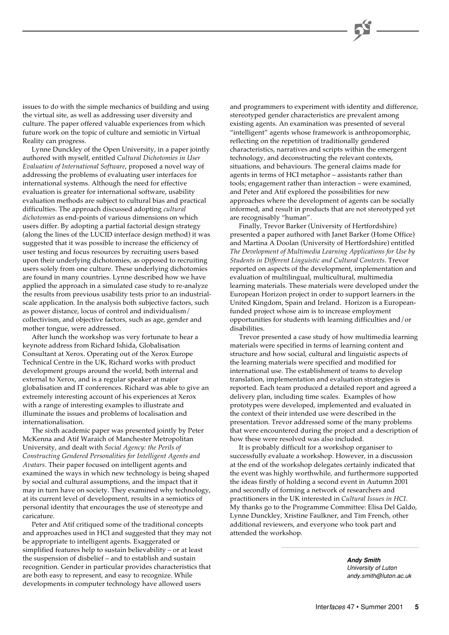issues to do with the simple mechanics of building and using the virtual site, as well as addressing user diversity and culture. The paper offered valuable experiences from which future work on the topic of culture and semiotic in Virtual Reality can progress.

Lynne Dunckley of the Open University, in a paper jointly authored with myself, entitled *Cultural Dichotomies in User Evaluation of International Software*, proposed a novel way of addressing the problems of evaluating user interfaces for international systems. Although the need for effective evaluation is greater for international software, usability evaluation methods are subject to cultural bias and practical difficulties. The approach discussed adopting *cultural dichotomies* as end-points of various dimensions on which users differ. By adopting a partial factorial design strategy (along the lines of the LUCID interface design method) it was suggested that it was possible to increase the efficiency of user testing and focus resources by recruiting users based upon their underlying dichotomies, as opposed to recruiting users solely from one culture. These underlying dichotomies are found in many countries. Lynne described how we have applied the approach in a simulated case study to re-analyze the results from previous usability tests prior to an industrialscale application. In the analysis both subjective factors, such as power distance, locus of control and individualism/ collectivism, and objective factors, such as age, gender and mother tongue, were addressed.

After lunch the workshop was very fortunate to hear a keynote address from Richard Ishida, Globalisation Consultant at Xerox. Operating out of the Xerox Europe Technical Centre in the UK, Richard works with product development groups around the world, both internal and external to Xerox, and is a regular speaker at major globalisation and IT conferences. Richard was able to give an extremely interesting account of his experiences at Xerox with a range of interesting examples to illustrate and illuminate the issues and problems of localisation and internationalisation.

The sixth academic paper was presented jointly by Peter McKenna and Atif Waraich of Manchester Metropolitan University, and dealt with *Social Agency: the Perils of Constructing Gendered Personalities for Intelligent Agents and Avatars*. Their paper focused on intelligent agents and examined the ways in which new technology is being shaped by social and cultural assumptions, and the impact that it may in turn have on society. They examined why technology, at its current level of development, results in a semiotics of personal identity that encourages the use of stereotype and caricature.

Peter and Atif critiqued some of the traditional concepts and approaches used in HCI and suggested that they may not be appropriate to intelligent agents. Exaggerated or simplified features help to sustain believability – or at least the suspension of disbelief – and to establish and sustain recognition. Gender in particular provides characteristics that are both easy to represent, and easy to recognize. While developments in computer technology have allowed users

and programmers to experiment with identity and difference, stereotyped gender characteristics are prevalent among existing agents. An examination was presented of several "intelligent" agents whose framework is anthropomorphic, reflecting on the repetition of traditionally gendered characteristics, narratives and scripts within the emergent technology, and deconstructing the relevant contexts, situations, and behaviours. The general claims made for agents in terms of HCI metaphor – assistants rather than tools; engagement rather than interaction – were examined, and Peter and Atif explored the possibilities for new approaches where the development of agents can be socially informed, and result in products that are not stereotyped yet are recognisably "human".

Finally, Trevor Barker (University of Hertfordshire) presented a paper authored with Janet Barker (Home Office) and Martina A Doolan (University of Hertfordshire) entitled *The Development of Multimedia Learning Applications for Use by Students in Different Linguistic and Cultural Contexts*. Trevor reported on aspects of the development, implementation and evaluation of multilingual, multicultural, multimedia learning materials. These materials were developed under the European Horizon project in order to support learners in the United Kingdom, Spain and Ireland. Horizon is a Europeanfunded project whose aim is to increase employment opportunities for students with learning difficulties and/or disabilities.

Trevor presented a case study of how multimedia learning materials were specified in terms of learning content and structure and how social, cultural and linguistic aspects of the learning materials were specified and modified for international use. The establishment of teams to develop translation, implementation and evaluation strategies is reported. Each team produced a detailed report and agreed a delivery plan, including time scales. Examples of how prototypes were developed, implemented and evaluated in the context of their intended use were described in the presentation. Trevor addressed some of the many problems that were encountered during the project and a description of how these were resolved was also included.

It is probably difficult for a workshop organiser to successfully evaluate a workshop. However, in a discussion at the end of the workshop delegates certainly indicated that the event was highly worthwhile, and furthermore supported the ideas firstly of holding a second event in Autumn 2001 and secondly of forming a network of researchers and practitioners in the UK interested in *Cultural Issues in HCI*. My thanks go to the Programme Committee: Elisa Del Galdo, Lynne Dunckley, Xristine Faulkner, and Tim French, other additional reviewers, and everyone who took part and attended the workshop.

> **Andy Smith** University of Luton andy.smith@luton.ac.uk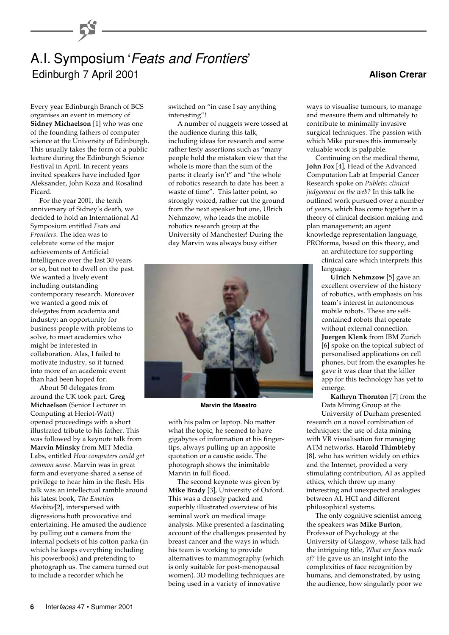### A.I. Symposium 'Feats and Frontiers' Edinburgh 7 April 2001

Every year Edinburgh Branch of BCS organises an event in memory of **Sidney Michaelson** [1] who was one of the founding fathers of computer science at the University of Edinburgh. This usually takes the form of a public lecture during the Edinburgh Science Festival in April. In recent years invited speakers have included Igor Aleksander, John Koza and Rosalind Picard.

For the year 2001, the tenth anniversary of Sidney's death, we decided to hold an International AI Symposium entitled *Feats and Frontiers*. The idea was to celebrate some of the major achievements of Artificial Intelligence over the last 30 years or so, but not to dwell on the past. We wanted a lively event including outstanding contemporary research. Moreover we wanted a good mix of delegates from academia and industry: an opportunity for business people with problems to solve, to meet academics who might be interested in collaboration. Alas, I failed to motivate industry, so it turned into more of an academic event than had been hoped for.

About 50 delegates from around the UK took part. **Greg Michaelson** (Senior Lecturer in Computing at Heriot-Watt) opened proceedings with a short illustrated tribute to his father. This was followed by a keynote talk from **Marvin Minsky** from MIT Media Labs, entitled *How computers could get common sense*. Marvin was in great form and everyone shared a sense of privilege to hear him in the flesh. His talk was an intellectual ramble around his latest book, *The Emotion Machine*[2], interspersed with digressions both provocative and entertaining. He amused the audience by pulling out a camera from the internal pockets of his cotton parka (in which he keeps everything including his powerbook) and pretending to photograph us. The camera turned out to include a recorder which he

switched on "in case I say anything interesting"!

A number of nuggets were tossed at the audience during this talk, including ideas for research and some rather testy assertions such as "many people hold the mistaken view that the whole is more than the sum of the parts: it clearly isn't" and "the whole of robotics research to date has been a waste of time". This latter point, so strongly voiced, rather cut the ground from the next speaker but one, Ulrich Nehmzow, who leads the mobile robotics research group at the University of Manchester! During the day Marvin was always busy either



**Marvin the Maestro**

with his palm or laptop. No matter what the topic, he seemed to have gigabytes of information at his fingertips, always pulling up an apposite quotation or a caustic aside. The photograph shows the inimitable Marvin in full flood.

The second keynote was given by **Mike Brady** [3], University of Oxford. This was a densely packed and superbly illustrated overview of his seminal work on medical image analysis. Mike presented a fascinating account of the challenges presented by breast cancer and the ways in which his team is working to provide alternatives to mammography (which is only suitable for post-menopausal women). 3D modelling techniques are being used in a variety of innovative

**Alison Crerar**

ways to visualise tumours, to manage and measure them and ultimately to contribute to minimally invasive surgical techniques. The passion with which Mike pursues this immensely valuable work is palpable.

Continuing on the medical theme, **John Fox** [4], Head of the Advanced Computation Lab at Imperial Cancer Research spoke on *Publets: clinical judgement on the web?* In this talk he outlined work pursued over a number of years, which has come together in a theory of clinical decision making and plan management; an agent knowledge representation language, PROforma, based on this theory, and

an architecture for supporting clinical care which interprets this language.

**Ulrich Nehmzow** [5] gave an excellent overview of the history of robotics, with emphasis on his team's interest in autonomous mobile robots. These are selfcontained robots that operate without external connection. **Juergen Klenk** from IBM Zurich [6] spoke on the topical subject of personalised applications on cell phones, but from the examples he gave it was clear that the killer app for this technology has yet to emerge.

**Kathryn Thornton** [7] from the Data Mining Group at the

University of Durham presented research on a novel combination of techniques: the use of data mining with VR visualisation for managing ATM networks. **Harold Thimbleby** [8], who has written widely on ethics and the Internet, provided a very stimulating contribution, AI as applied ethics, which threw up many interesting and unexpected analogies between AI, HCI and different philosophical systems.

The only cognitive scientist among the speakers was **Mike Burton**, Professor of Psychology at the University of Glasgow, whose talk had the intriguing title, *What are faces made of?* He gave us an insight into the complexities of face recognition by humans, and demonstrated, by using the audience, how singularly poor we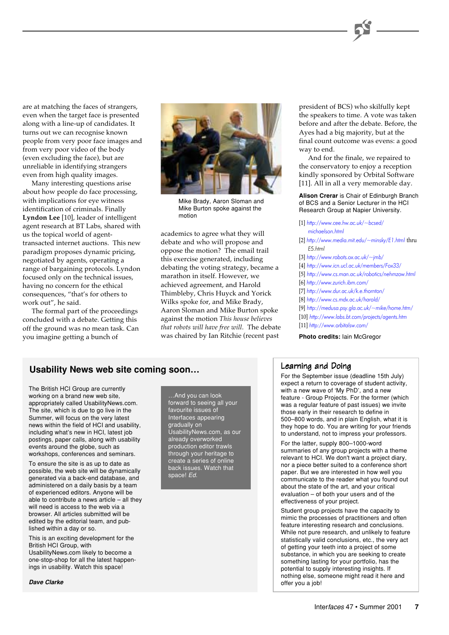are at matching the faces of strangers, even when the target face is presented along with a line-up of candidates. It turns out we can recognise known people from very poor face images and from very poor video of the body (even excluding the face), but are unreliable in identifying strangers even from high quality images.

Many interesting questions arise about how people do face processing, with implications for eye witness identification of criminals. Finally **Lyndon Lee** [10], leader of intelligent agent research at BT Labs, shared with us the topical world of agenttransacted internet auctions. This new paradigm proposes dynamic pricing, negotiated by agents, operating a range of bargaining protocols. Lyndon focused only on the technical issues, having no concern for the ethical consequences, "that's for others to work out", he said.

The formal part of the proceedings concluded with a debate. Getting this off the ground was no mean task. Can you imagine getting a bunch of



Mike Brady, Aaron Sloman and Mike Burton spoke against the motion

academics to agree what they will debate and who will propose and oppose the motion? The email trail this exercise generated, including debating the voting strategy, became a marathon in itself. However, we achieved agreement, and Harold Thimbleby, Chris Huyck and Yorick Wilks spoke for, and Mike Brady, Aaron Sloman and Mike Burton spoke against the motion *This house believes that robots will have free will*. The debate was chaired by Ian Ritchie (recent past **Photo credits:** Iain McGregor

president of BCS) who skilfully kept the speakers to time. A vote was taken before and after the debate. Before, the Ayes had a big majority, but at the final count outcome was evens: a good way to end.

And for the finale, we repaired to the conservatory to enjoy a reception kindly sponsored by Orbital Software [11]. All in all a very memorable day.

**Alison Crerar** is Chair of Edinburgh Branch of BCS and a Senior Lecturer in the HCI Research Group at Napier University.

- [1] [http://www.cee.hw.ac.uk/~bcsed/](http://www.cee.hw.ac.uk/~bcsed/michaelson.html) michaelson.html
- [2] [http://www.media.mit.edu/~minsky/E1.html](http://www.media.mit.edu/~minsky/E1/eb1.html) thru E5.html
- [3] <http://www.robots.ox.ac.uk/~jmb/>
- [4] <http://www.icn.ucl.ac.uk/members/Fox33/>
- [5] <http://www.cs.man.ac.uk/robotics/nehmzow.html>
- [6] <http://www.zurich.ibm.com/>
- [7] <http://www.dur.ac.uk/k.e.thornton/>
- [8] <http://www.cs.mdx.ac.uk/harold/>
- [9] [http://medusa.psy.gla.ac.uk/~mike/home.htm/](http://medusa.psy.gla.ac.uk/~mike/home.html)
- [10] <http://www.labs.bt.com/projects/agents.htm>

[11] <http://www.orbitalsw.com/>

### Usability News web site coming soon... Learning and Doing

The British HCI Group are currently working on a brand new web site, appropriately called UsabilityNews.com. The site, which is due to go live in the Summer, will focus on the very latest news within the field of HCI and usability, including what's new in HCI, latest job postings, paper calls, along with usability events around the globe, such as workshops, conferences and seminars.

To ensure the site is as up to date as possible, the web site will be dynamically generated via a back-end database, and administered on a daily basis by a team of experienced editors. Anyone will be able to contribute a news article – all they will need is access to the web via a browser. All articles submitted will be edited by the editorial team, and published within a day or so.

This is an exciting development for the British HCI Group, with UsabilityNews.com likely to become a one-stop-shop for all the latest happenings in usability. Watch this space!

**Dave Clarke**

…And you can look forward to seeing all your favourite issues of Interfaces appearing gradually on UsabilityNews.com, as our already overworked production editor trawls through your heritage to create a series of online back issues. Watch that space! Ed.

For the September issue (deadline 15th July) expect a return to coverage of student activity, with a new wave of 'My PhD', and a new feature - Group Projects. For the former (which was a regular feature of past issues) we invite those early in their research to define in 500–800 words, and in plain English, what it is they hope to do. You are writing for your friends to understand, not to impress your professors.

For the latter, supply 800–1000-word summaries of any group projects with a theme relevant to HCI. We don't want a project diary, nor a piece better suited to a conference short paper. But we are interested in how well you communicate to the reader what you found out about the state of the art, and your critical evaluation – of both your users and of the effectiveness of your project.

Student group projects have the capacity to mimic the processes of practitioners and often feature interesting research and conclusions. While not pure research, and unlikely to feature statistically valid conclusions, etc., the very act of getting your teeth into a project of some substance, in which you are seeking to create something lasting for your portfolio, has the potential to supply interesting insights. If nothing else, someone might read it here and offer you a job!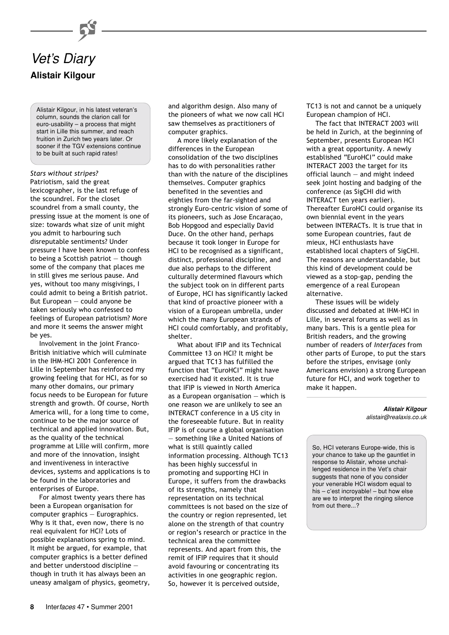

**Alistair Kilgour**

Alistair Kilgour, in his latest veteran's column, sounds the clarion call for euro-usability – a process that might start in Lille this summer, and reach fruition in Zurich two years later. Or sooner if the TGV extensions continue to be built at such rapid rates!

#### *Stars without stripes?*

Patriotism, said the great lexicographer, is the last refuge of the scoundrel. For the closet scoundrel from a small county, the pressing issue at the moment is one of size: towards what size of unit might you admit to harbouring such disreputable sentiments? Under pressure I have been known to confess to being a Scottish patriot — though some of the company that places me in still gives me serious pause. And yes, without too many misgivings, I could admit to being a British patriot. But European — could anyone be taken seriously who confessed to feelings of European patriotism? More and more it seems the answer might be yes.

Involvement in the joint Franco-British initiative which will culminate in the IHM-HCI 2001 Conference in Lille in September has reinforced my growing feeling that for HCI, as for so many other domains, our primary focus needs to be European for future strength and growth. Of course, North America will, for a long time to come, continue to be the major source of technical and applied innovation. But, as the quality of the technical programme at Lille will confirm, more and more of the innovation, insight and inventiveness in interactive devices, systems and applications is to be found in the laboratories and enterprises of Europe.

For almost twenty years there has been a European organisation for computer graphics — Eurographics. Why is it that, even now, there is no real equivalent for HCI? Lots of possible explanations spring to mind. It might be argued, for example, that computer graphics is a better defined and better understood discipline though in truth it has always been an uneasy amalgam of physics, geometry, and algorithm design. Also many of the pioneers of what we now call HCI saw themselves as practitioners of computer graphics.

A more likely explanation of the differences in the European consolidation of the two disciplines has to do with personalities rather than with the nature of the disciplines themselves. Computer graphics benefited in the seventies and eighties from the far-sighted and strongly Euro-centric vision of some of its pioneers, such as Jose Encaraçao, Bob Hopgood and especially David Duce. On the other hand, perhaps because it took longer in Europe for HCI to be recognised as a significant, distinct, professional discipline, and due also perhaps to the different culturally determined flavours which the subject took on in different parts of Europe, HCI has significantly lacked that kind of proactive pioneer with a vision of a European umbrella, under which the many European strands of HCI could comfortably, and profitably, shelter.

What about IFIP and its Technical Committee 13 on HCI? It might be argued that TC13 has fulfilled the function that "EuroHCI" might have exercised had it existed. It is true that IFIP is viewed in North America as a European organisation  $-$  which is one reason we are unlikely to see an INTERACT conference in a US city in the foreseeable future. But in reality IFIP is of course a global organisation — something like a United Nations of what is still quaintly called information processing. Although TC13 has been highly successful in promoting and supporting HCI in Europe, it suffers from the drawbacks of its strengths, namely that representation on its technical committees is not based on the size of the country or region represented, let alone on the strength of that country or region's research or practice in the technical area the committee represents. And apart from this, the remit of IFIP requires that it should avoid favouring or concentrating its activities in one geographic region. So, however it is perceived outside,

TC13 is not and cannot be a uniquely European champion of HCI.

The fact that INTERACT 2003 will be held in Zurich, at the beginning of September, presents European HCI with a great opportunity. A newly established "EuroHCI" could make INTERACT 2003 the target for its official launch — and might indeed seek joint hosting and badging of the conference (as SigCHI did with INTERACT ten years earlier). Thereafter EuroHCI could organise its own biennial event in the years between INTERACTs. It is true that in some European countries, faut de mieux, HCI enthusiasts have established local chapters of SigCHI. The reasons are understandable, but this kind of development could be viewed as a stop-gap, pending the emergence of a real European alternative.

These issues will be widely discussed and debated at IHM-HCI in Lille, in several forums as well as in many bars. This is a gentle plea for British readers, and the growing number of readers of *Interfaces* from other parts of Europe, to put the stars before the stripes, envisage (only Americans envision) a strong European future for HCI, and work together to make it happen.

> **Alistair Kilgour** alistair@realaxis.co.uk

So, HCI veterans Europe-wide, this is your chance to take up the gauntlet in response to Alistair, whose unchallenged residence in the Vet's chair suggests that none of you consider your venerable HCI wisdom equal to his – c'est incroyable! – but how else are we to interpret the ringing silence from out there...?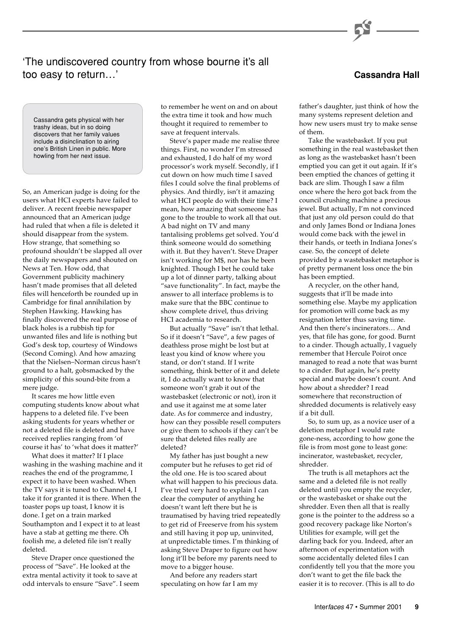### 'The undiscovered country from whose bourne it's all too easy to return…' **Cassandra Hall**

Cassandra gets physical with her trashy ideas, but in so doing discovers that her family values include a disinclination to airing one's British Linen in public. More howling from her next issue.

So, an American judge is doing for the users what HCI experts have failed to deliver. A recent freebie newspaper announced that an American judge had ruled that when a file is deleted it should disappear from the system. How strange, that something so profound shouldn't be slapped all over the daily newspapers and shouted on News at Ten. How odd, that Government publicity machinery hasn't made promises that all deleted files will henceforth be rounded up in Cambridge for final annihilation by Stephen Hawking. Hawking has finally discovered the real purpose of black holes is a rubbish tip for unwanted files and life is nothing but God's desk top, courtesy of Windows (Second Coming). And how amazing that the Nielsen–Norman circus hasn't ground to a halt, gobsmacked by the simplicity of this sound-bite from a mere judge.

It scares me how little even computing students know about what happens to a deleted file. I've been asking students for years whether or not a deleted file is deleted and have received replies ranging from 'of course it has' to 'what does it matter?'

What does it matter? If I place washing in the washing machine and it reaches the end of the programme, I expect it to have been washed. When the TV says it is tuned to Channel 4, I take it for granted it is there. When the toaster pops up toast, I know it is done. I get on a train marked Southampton and I expect it to at least have a stab at getting me there. Oh foolish me, a deleted file isn't really deleted.

Steve Draper once questioned the process of "Save". He looked at the extra mental activity it took to save at odd intervals to ensure "Save". I seem to remember he went on and on about the extra time it took and how much thought it required to remember to save at frequent intervals.

Steve's paper made me realise three things. First, no wonder I'm stressed and exhausted, I do half of my word processor's work myself. Secondly, if I cut down on how much time I saved files I could solve the final problems of physics. And thirdly, isn't it amazing what HCI people do with their time? I mean, how amazing that someone has gone to the trouble to work all that out. A bad night on TV and many tantalising problems get solved. You'd think someone would do something with it. But they haven't. Steve Draper isn't working for M\$, nor has he been knighted. Though I bet he could take up a lot of dinner party, talking about "save functionality". In fact, maybe the answer to all interface problems is to make sure that the BBC continue to show complete drivel, thus driving HCI academia to research.

But actually "Save" isn't that lethal. So if it doesn't "Save", a few pages of deathless prose might be lost but at least you kind of know where you stand, or don't stand. If I write something, think better of it and delete it, I do actually want to know that someone won't grab it out of the wastebasket (electronic or not), iron it and use it against me at some later date. As for commerce and industry, how can they possible resell computers or give them to schools if they can't be sure that deleted files really are deleted?

My father has just bought a new computer but he refuses to get rid of the old one. He is too scared about what will happen to his precious data. I've tried very hard to explain I can clear the computer of anything he doesn't want left there but he is traumatised by having tried repeatedly to get rid of Freeserve from his system and still having it pop up, uninvited, at unpredictable times. I'm thinking of asking Steve Draper to figure out how long it'll be before my parents need to move to a bigger house.

And before any readers start speculating on how far I am my

father's daughter, just think of how the many systems represent deletion and how new users must try to make sense of them.

Take the wastebasket. If you put something in the real wastebasket then as long as the wastebasket hasn't been emptied you can get it out again. If it's been emptied the chances of getting it back are slim. Though I saw a film once where the hero got back from the council crushing machine a precious jewel. But actually, I'm not convinced that just any old person could do that and only James Bond or Indiana Jones would come back with the jewel in their hands, or teeth in Indiana Jones's case. So, the concept of delete provided by a wastebasket metaphor is of pretty permanent loss once the bin has been emptied.

A recycler, on the other hand, suggests that it'll be made into something else. Maybe my application for promotion will come back as my resignation letter thus saving time. And then there's incinerators… And yes, that file has gone, for good. Burnt to a cinder. Though actually, I vaguely remember that Hercule Poirot once managed to read a note that was burnt to a cinder. But again, he's pretty special and maybe doesn't count. And how about a shredder? I read somewhere that reconstruction of shredded documents is relatively easy if a bit dull.

So, to sum up, as a novice user of a deletion metaphor I would rate gone-ness, according to how gone the file is from most gone to least gone: incinerator, wastebasket, recycler, shredder.

The truth is all metaphors act the same and a deleted file is not really deleted until you empty the recycler, or the wastebasket or shake out the shredder. Even then all that is really gone is the pointer to the address so a good recovery package like Norton's Utilities for example, will get the darling back for you. Indeed, after an afternoon of experimentation with some accidentally deleted files I can confidently tell you that the more you don't want to get the file back the easier it is to recover. (This is all to do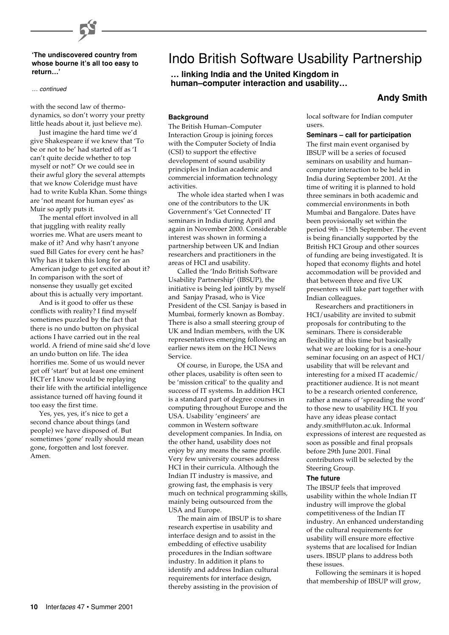#### **'The undiscovered country from whose bourne it's all too easy to return…'**

#### … continued

with the second law of thermodynamics, so don't worry your pretty little heads about it, just believe me).

Just imagine the hard time we'd give Shakespeare if we knew that 'To be or not to be' had started off as 'I can't quite decide whether to top myself or not?' Or we could see in their awful glory the several attempts that we know Coleridge must have had to write Kubla Khan. Some things are 'not meant for human eyes' as Muir so aptly puts it.

The mental effort involved in all that juggling with reality really worries me. What are users meant to make of it? And why hasn't anyone sued Bill Gates for every cent he has? Why has it taken this long for an American judge to get excited about it? In comparison with the sort of nonsense they usually get excited about this is actually very important.

And is it good to offer us these conflicts with reality? I find myself sometimes puzzled by the fact that there is no undo button on physical actions I have carried out in the real world. A friend of mine said she'd love an undo button on life. The idea horrifies me. Some of us would never get off 'start' but at least one eminent HCI'er I know would be replaying their life with the artificial intelligence assistance turned off having found it too easy the first time.

Yes, yes, yes, it's nice to get a second chance about things (and people) we have disposed of. But sometimes 'gone' really should mean gone, forgotten and lost forever. Amen.

# Indo British Software Usability Partnership

#### **… linking India and the United Kingdom in human–computer interaction and usability…**

### **Andy Smith**

**Background**

The British Human–Computer Interaction Group is joining forces with the Computer Society of India (CSI) to support the effective development of sound usability principles in Indian academic and commercial information technology activities.

The whole idea started when I was one of the contributors to the UK Government's 'Get Connected' IT seminars in India during April and again in November 2000. Considerable interest was shown in forming a partnership between UK and Indian researchers and practitioners in the areas of HCI and usability.

Called the 'Indo British Software Usability Partnership' (IBSUP), the initiative is being led jointly by myself and Sanjay Prasad, who is Vice President of the CSI. Sanjay is based in Mumbai, formerly known as Bombay. There is also a small steering group of UK and Indian members, with the UK representatives emerging following an earlier news item on the HCI News Service.

Of course, in Europe, the USA and other places, usability is often seen to be 'mission critical' to the quality and success of IT systems. In addition HCI is a standard part of degree courses in computing throughout Europe and the USA. Usability 'engineers' are common in Western software development companies. In India, on the other hand, usability does not enjoy by any means the same profile. Very few university courses address HCI in their curricula. Although the Indian IT industry is massive, and growing fast, the emphasis is very much on technical programming skills, mainly being outsourced from the USA and Europe.

The main aim of IBSUP is to share research expertise in usability and interface design and to assist in the embedding of effective usability procedures in the Indian software industry. In addition it plans to identify and address Indian cultural requirements for interface design, thereby assisting in the provision of

local software for Indian computer users.

#### **Seminars – call for participation**

The first main event organised by IBSUP will be a series of focused seminars on usability and human– computer interaction to be held in India during September 2001. At the time of writing it is planned to hold three seminars in both academic and commercial environments in both Mumbai and Bangalore. Dates have been provisionally set within the period 9th – 15th September. The event is being financially supported by the British HCI Group and other sources of funding are being investigated. It is hoped that economy flights and hotel accommodation will be provided and that between three and five UK presenters will take part together with Indian colleagues.

Researchers and practitioners in HCI/usability are invited to submit proposals for contributing to the seminars. There is considerable flexibility at this time but basically what we are looking for is a one-hour seminar focusing on an aspect of HCI/ usability that will be relevant and interesting for a mixed IT academic/ practitioner audience. It is not meant to be a research oriented conference, rather a means of 'spreading the word' to those new to usability HCI. If you have any ideas please contact andy.smith@luton.ac.uk. Informal expressions of interest are requested as soon as possible and final propsals before 29th June 2001. Final contributors will be selected by the Steering Group.

#### **The future**

The IBSUP feels that improved usability within the whole Indian IT industry will improve the global competitiveness of the Indian IT industry. An enhanced understanding of the cultural requirements for usability will ensure more effective systems that are localised for Indian users. IBSUP plans to address both these issues.

Following the seminars it is hoped that membership of IBSUP will grow,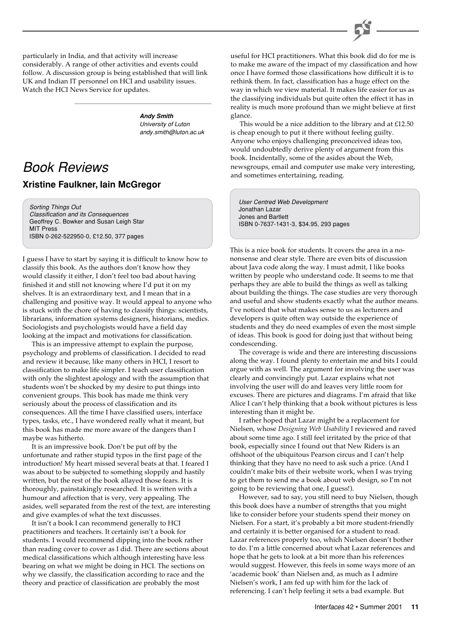particularly in India, and that activity will increase considerably. A range of other activities and events could follow. A discussion group is being established that will link UK and Indian IT personnel on HCI and usability issues. Watch the HCI News Service for updates.

> **Andy Smith** University of Luton andy.smith@luton.ac.uk

### Book Reviews **Xristine Faulkner, Iain McGregor**

Sorting Things Out Classification and its Consequences Geoffrey C. Bowker and Susan Leigh Star MIT Press ISBN 0-262-522950-0, £12.50, 377 pages

I guess I have to start by saying it is difficult to know how to classify this book. As the authors don't know how they would classify it either, I don't feel too bad about having finished it and still not knowing where I'd put it on my shelves. It is an extraordinary text, and I mean that in a challenging and positive way. It would appeal to anyone who is stuck with the chore of having to classify things: scientists, librarians, information systems designers, historians, medics. Sociologists and psychologists would have a field day looking at the impact and motivations for classification.

This is an impressive attempt to explain the purpose, psychology and problems of classification. I decided to read and review it because, like many others in HCI, I resort to classification to make life simpler. I teach user classification with only the slightest apology and with the assumption that students won't be shocked by my desire to put things into convenient groups. This book has made me think very seriously about the process of classification and its consequences. All the time I have classified users, interface types, tasks, etc., I have wondered really what it meant, but this book has made me more aware of the dangers than I maybe was hitherto.

It is an impressive book. Don't be put off by the unfortunate and rather stupid typos in the first page of the introduction! My heart missed several beats at that. I feared I was about to be subjected to something sloppily and hastily written, but the rest of the book allayed those fears. It is thoroughly, painstakingly researched. It is written with a humour and affection that is very, very appealing. The asides, well separated from the rest of the text, are interesting and give examples of what the text discusses.

It isn't a book I can recommend generally to HCI practitioners and teachers. It certainly isn't a book for students. I would recommend dipping into the book rather than reading cover to cover as I did. There are sections about medical classifications which although interesting have less bearing on what we might be doing in HCI. The sections on why we classify, the classification according to race and the theory and practice of classification are probably the most

useful for HCI practitioners. What this book did do for me is to make me aware of the impact of my classification and how once I have formed those classifications how difficult it is to rethink them. In fact, classification has a huge effect on the way in which we view material. It makes life easier for us as the classifying individuals but quite often the effect it has in reality is much more profound than we might believe at first glance.

This would be a nice addition to the library and at £12.50 is cheap enough to put it there without feeling guilty. Anyone who enjoys challenging preconceived ideas too, would undoubtedly derive plenty of argument from this book. Incidentally, some of the asides about the Web, newsgroups, email and computer use make very interesting, and sometimes entertaining, reading.

User Centred Web Development Jonathan Lazar Jones and Bartlett ISBN 0-7637-1431-3, \$34.95, 293 pages

This is a nice book for students. It covers the area in a nononsense and clear style. There are even bits of discussion about Java code along the way. I must admit, I like books written by people who understand code. It seems to me that perhaps they are able to build the things as well as talking about building the things. The case studies are very thorough and useful and show students exactly what the author means. I've noticed that what makes sense to us as lecturers and developers is quite often way outside the experience of students and they do need examples of even the most simple of ideas. This book is good for doing just that without being condescending.

The coverage is wide and there are interesting discussions along the way. I found plenty to entertain me and bits I could argue with as well. The argument for involving the user was clearly and convincingly put. Lazar explains what not involving the user will do and leaves very little room for excuses. There are pictures and diagrams. I'm afraid that like Alice I can't help thinking that a book without pictures is less interesting than it might be.

I rather hoped that Lazar might be a replacement for Nielsen, whose *Designing Web Usability* I reviewed and raved about some time ago. I still feel irritated by the price of that book, especially since I found out that New Riders is an offshoot of the ubiquitous Pearson circus and I can't help thinking that they have no need to ask such a price. (And I couldn't make bits of their website work, when I was trying to get them to send me a book about web design, so I'm not going to be reviewing that one, I guess!).

However, sad to say, you still need to buy Nielsen, though this book does have a number of strengths that you might like to consider before your students spend their money on Nielsen. For a start, it's probably a bit more student-friendly and certainly it is better organised for a student to read. Lazar references properly too, which Nielsen doesn't bother to do. I'm a little concerned about what Lazar references and hope that he gets to look at a bit more than his references would suggest. However, this feels in some ways more of an 'academic book' than Nielsen and, as much as I admire Nielsen's work, I am fed up with him for the lack of referencing. I can't help feeling it sets a bad example. But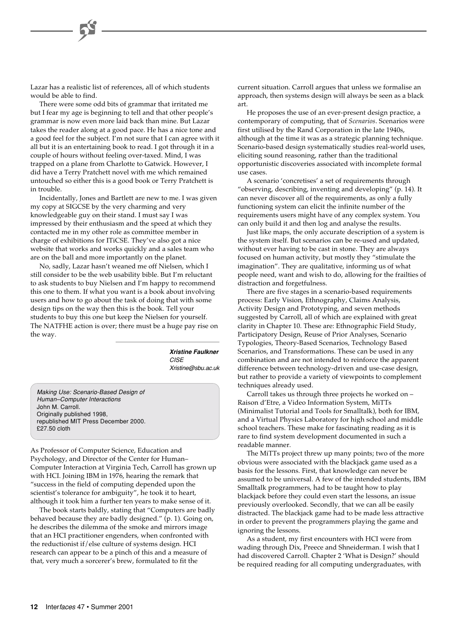Lazar has a realistic list of references, all of which students would be able to find.

There were some odd bits of grammar that irritated me but I fear my age is beginning to tell and that other people's grammar is now even more laid back than mine. But Lazar takes the reader along at a good pace. He has a nice tone and a good feel for the subject. I'm not sure that I can agree with it all but it is an entertaining book to read. I got through it in a couple of hours without feeling over-taxed. Mind, I was trapped on a plane from Charlotte to Gatwick. However, I did have a Terry Pratchett novel with me which remained untouched so either this is a good book or Terry Pratchett is in trouble.

Incidentally, Jones and Bartlett are new to me. I was given my copy at SIGCSE by the very charming and very knowledgeable guy on their stand. I must say I was impressed by their enthusiasm and the speed at which they contacted me in my other role as committee member in charge of exhibitions for ITiCSE. They've also got a nice website that works and works quickly and a sales team who are on the ball and more importantly on the planet.

No, sadly, Lazar hasn't weaned me off Nielsen, which I still consider to be the web usability bible. But I'm reluctant to ask students to buy Nielsen and I'm happy to recommend this one to them. If what you want is a book about involving users and how to go about the task of doing that with some design tips on the way then this is the book. Tell your students to buy this one but keep the Nielsen for yourself. The NATFHE action is over; there must be a huge pay rise on the way.

> **Xristine Faulkner CISE** Xristine@sbu.ac.uk

Making Use: Scenario-Based Design of Human–Computer Interactions John M. Carroll. Originally published 1998, republished MIT Press December 2000. £27.50 cloth

As Professor of Computer Science, Education and Psychology, and Director of the Center for Human– Computer Interaction at Virginia Tech, Carroll has grown up with HCI. Joining IBM in 1976, hearing the remark that "success in the field of computing depended upon the scientist's tolerance for ambiguity", he took it to heart, although it took him a further ten years to make sense of it.

The book starts baldly, stating that "Computers are badly behaved because they are badly designed." (p. 1). Going on, he describes the dilemma of the smoke and mirrors image that an HCI practitioner engenders, when confronted with the reductionist if/else culture of systems design. HCI research can appear to be a pinch of this and a measure of that, very much a sorcerer's brew, formulated to fit the

current situation. Carroll argues that unless we formalise an approach, then systems design will always be seen as a black art.

He proposes the use of an ever-present design practice, a contemporary of computing, that of *Scenarios*. Scenarios were first utilised by the Rand Corporation in the late 1940s, although at the time it was as a strategic planning technique. Scenario-based design systematically studies real-world uses, eliciting sound reasoning, rather than the traditional opportunistic discoveries associated with incomplete formal use cases.

A scenario 'concretises' a set of requirements through "observing, describing, inventing and developing" (p. 14). It can never discover all of the requirements, as only a fully functioning system can elicit the infinite number of the requirements users might have of any complex system. You can only build it and then log and analyse the results.

Just like maps, the only accurate description of a system is the system itself. But scenarios can be re-used and updated, without ever having to be cast in stone. They are always focused on human activity, but mostly they "stimulate the imagination". They are qualitative, informing us of what people need, want and wish to do, allowing for the frailties of distraction and forgetfulness.

There are five stages in a scenario-based requirements process: Early Vision, Ethnography, Claims Analysis, Activity Design and Prototyping, and seven methods suggested by Carroll, all of which are explained with great clarity in Chapter 10. These are: Ethnographic Field Study, Participatory Design, Reuse of Prior Analyses, Scenario Typologies, Theory-Based Scenarios, Technology Based Scenarios, and Transformations. These can be used in any combination and are not intended to reinforce the apparent difference between technology-driven and use-case design, but rather to provide a variety of viewpoints to complement techniques already used.

Carroll takes us through three projects he worked on – Raison d'Etre, a Video Information System, MiTTs (Minimalist Tutorial and Tools for Smalltalk), both for IBM, and a Virtual Physics Laboratory for high school and middle school teachers. These make for fascinating reading as it is rare to find system development documented in such a readable manner.

The MiTTs project threw up many points; two of the more obvious were associated with the blackjack game used as a basis for the lessons. First, that knowledge can never be assumed to be universal. A few of the intended students, IBM Smalltalk programmers, had to be taught how to play blackjack before they could even start the lessons, an issue previously overlooked. Secondly, that we can all be easily distracted. The blackjack game had to be made less attractive in order to prevent the programmers playing the game and ignoring the lessons.

As a student, my first encounters with HCI were from wading through Dix, Preece and Shneiderman. I wish that I had discovered Carroll. Chapter 2 'What is Design?' should be required reading for all computing undergraduates, with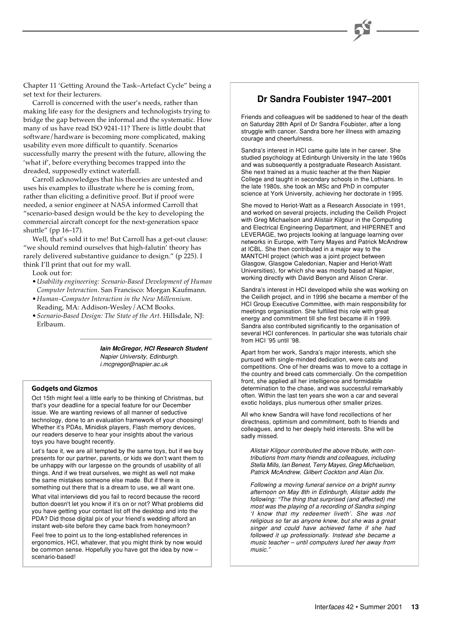Chapter 11 'Getting Around the Task–Artefact Cycle" being a set text for their lecturers.

Carroll is concerned with the user's needs, rather than making life easy for the designers and technologists trying to bridge the gap between the informal and the systematic. How many of us have read ISO 9241-11? There is little doubt that software/hardware is becoming more complicated, making usability even more difficult to quantify. Scenarios successfully marry the present with the future, allowing the 'what if', before everything becomes trapped into the dreaded, supposedly extinct waterfall.

Carroll acknowledges that his theories are untested and uses his examples to illustrate where he is coming from, rather than eliciting a definitive proof. But if proof were needed, a senior engineer at NASA informed Carroll that "scenario-based design would be the key to developing the commercial aircraft concept for the next-generation space shuttle" (pp 16–17).

Well, that's sold it to me! But Carroll has a get-out clause: "we should remind ourselves that high-falutin' theory has rarely delivered substantive guidance to design." (p 225). I think I'll print that out for my wall.

Look out for:

- *Usability engineering: Scenario-Based Development of Human Computer Interaction*. San Francisco: Morgan Kaufmann.
- *Human–Computer Interaction in the New Millennium*. Reading, MA: Addison-Wesley/ACM Books.
- *Scenario-Based Design: The State of the Art*. Hillsdale, NJ: Erlbaum.

**Iain McGregor, HCI Research Student** Napier University, Edinburgh. i.mcgregor@napier.ac.uk

#### Gadgets and Gizmos

Oct 15th might feel a little early to be thinking of Christmas, but that's your deadline for a special feature for our December issue. We are wanting reviews of all manner of seductive technology, done to an evaluation framework of your choosing! Whether it's PDAs, Minidisk players, Flash memory devices, our readers deserve to hear your insights about the various toys you have bought recently.

Let's face it, we are all tempted by the same toys, but if we buy presents for our partner, parents, or kids we don't want them to be unhappy with our largesse on the grounds of usability of all things. And if we treat ourselves, we might as well not make the same mistakes someone else made. But if there is something out there that is a dream to use, we all want one.

What vital interviews did you fail to record because the record button doesn't let you know if it's on or not? What problems did you have getting your contact list off the desktop and into the PDA? Did those digital pix of your friend's wedding afford an instant web-site before they came back from honeymoon?

Feel free to point us to the long-established references in ergonomics, HCI, whatever, that you might think by now would be common sense. Hopefully you have got the idea by now – scenario-based!

### **Dr Sandra Foubister 1947–2001**

Friends and colleagues will be saddened to hear of the death on Saturday 28th April of Dr Sandra Foubister, after a long struggle with cancer. Sandra bore her illness with amazing courage and cheerfulness.

Sandra's interest in HCI came quite late in her career. She studied psychology at Edinburgh University in the late 1960s and was subsequently a postgraduate Research Assistant. She next trained as a music teacher at the then Napier College and taught in secondary schools in the Lothians. In the late 1980s, she took an MSc and PhD in computer science at York University, achieving her doctorate in 1995.

She moved to Heriot-Watt as a Research Associate in 1991, and worked on several projects, including the Ceilidh Project with Greg Michaelson and Alistair Kilgour in the Computing and Electrical Engineering Department, and HIPERNET and LEVERAGE, two projects looking at language learning over networks in Europe, with Terry Mayes and Patrick McAndrew at ICBL. She then contributed in a major way to the MANTCHI project (which was a joint project between Glasgow, Glasgow Caledonian, Napier and Heriot-Watt Universities), for which she was mostly based at Napier, working directly with David Benyon and Alison Crerar.

Sandra's interest in HCI developed while she was working on the Ceilidh project, and in 1996 she became a member of the HCI Group Executive Committee, with main responsibility for meetings organisation. She fulfilled this role with great energy and commitment till she first became ill in 1999. Sandra also contributed significantly to the organisation of several HCI conferences. In particular she was tutorials chair from HCI '95 until '98.

Apart from her work, Sandra's major interests, which she pursued with single-minded dedication, were cats and competitions. One of her dreams was to move to a cottage in the country and breed cats commercially. On the competition front, she applied all her intelligence and formidable determination to the chase, and was successful remarkably often. Within the last ten years she won a car and several exotic holidays, plus numerous other smaller prizes.

All who knew Sandra will have fond recollections of her directness, optimism and commitment, both to friends and colleagues, and to her deeply held interests. She will be sadly missed.

Alistair Kilgour contributed the above tribute, with contributions from many friends and colleagues, including Stella Mills, Ian Benest, Terry Mayes, Greg Michaelson, Patrick McAndrew, Gilbert Cockton and Alan Dix.

Following a moving funeral service on a bright sunny afternoon on May 8th in Edinburgh, Alistair adds the following: "The thing that surprised (and affected) me most was the playing of a recording of Sandra singing 'I know that my redeemer liveth'. She was not religious so far as anyone knew, but she was a great singer and could have achieved fame if she had followed it up professionally. Instead she became a music teacher – until computers lured her away from music."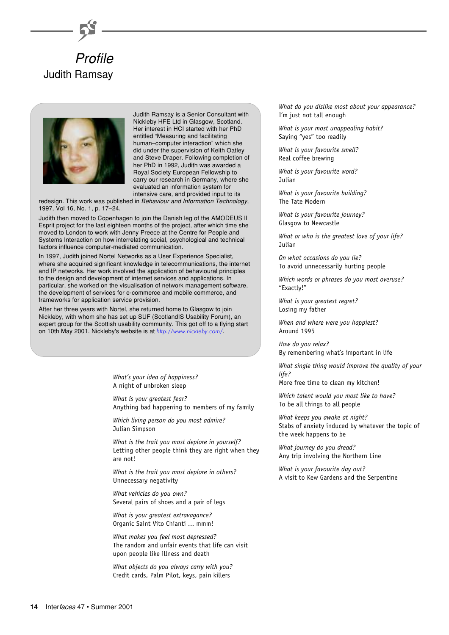



Judith Ramsay is a Senior Consultant with Nickleby HFE Ltd in Glasgow, Scotland. Her interest in HCI started with her PhD entitled "Measuring and facilitating human–computer interaction" which she did under the supervision of Keith Oatley and Steve Draper. Following completion of her PhD in 1992, Judith was awarded a Royal Society European Fellowship to carry our research in Germany, where she evaluated an information system for intensive care, and provided input to its

redesign. This work was published in Behaviour and Information Technology, 1997, Vol 16, No. 1, p. 17–24.

Judith then moved to Copenhagen to join the Danish leg of the AMODEUS II Esprit project for the last eighteen months of the project, after which time she moved to London to work with Jenny Preece at the Centre for People and Systems Interaction on how interrelating social, psychological and technical factors influence computer-mediated communication.

In 1997, Judith joined Nortel Networks as a User Experience Specialist, where she acquired significant knowledge in telecommunications, the internet and IP networks. Her work involved the application of behavioural principles to the design and development of internet services and applications. In particular, she worked on the visualisation of network management software, the development of services for e-commerce and mobile commerce, and frameworks for application service provision.

After her three years with Nortel, she returned home to Glasgow to join Nickleby, with whom she has set up SUF (ScotlandIS Usability Forum), an expert group for the Scottish usability community. This got off to a flying start on 10th May 2001. Nickleby's website is at <http://www.nickleby.com/>.

> *What's your idea of happiness?* A night of unbroken sleep

*What is your greatest fear?* Anything bad happening to members of my family

*Which living person do you most admire?* Julian Simpson

*What is the trait you most deplore in yourself?* Letting other people think they are right when they are not!

*What is the trait you most deplore in others?* Unnecessary negativity

*What vehicles do you own?* Several pairs of shoes and a pair of legs

*What is your greatest extravagance?* Organic Saint Vito Chianti ... mmm!

*What makes you feel most depressed?* The random and unfair events that life can visit upon people like illness and death

*What objects do you always carry with you?* Credit cards, Palm Pilot, keys, pain killers

*What do you dislike most about your appearance?* I'm just not tall enough

*What is your most unappealing habit?* Saying "yes" too readily

*What is your favourite smell?* Real coffee brewing

*What is your favourite word?* Julian

*What is your favourite building?* The Tate Modern

*What is your favourite journey?* Glasgow to Newcastle

*What or who is the greatest love of your life?* Julian

*On what occasions do you lie?* To avoid unnecessarily hurting people

*Which words or phrases do you most overuse?* "Exactly!"

*What is your greatest regret?* Losing my father

*When and where were you happiest?* Around 1995

*How do you relax?* By remembering what's important in life

*What single thing would improve the quality of your life?*

More free time to clean my kitchen!

*Which talent would you most like to have?* To be all things to all people

*What keeps you awake at night?* Stabs of anxiety induced by whatever the topic of the week happens to be

*What journey do you dread?* Any trip involving the Northern Line

*What is your favourite day out?* A visit to Kew Gardens and the Serpentine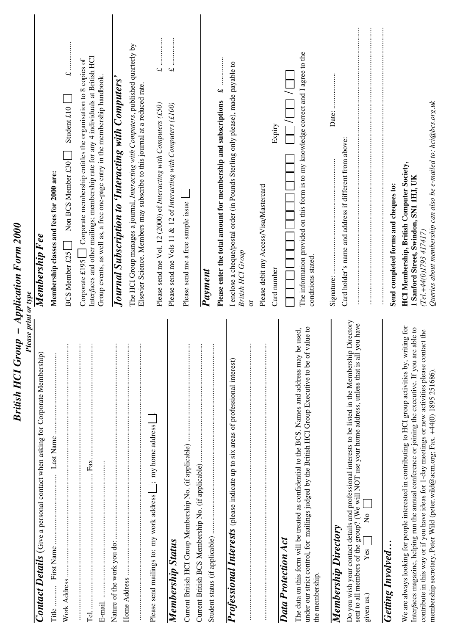| <b>Please print or type</b>                                                                                                                                                                                                                                                                                                                                                                          |                                                                                                                                                                                             |
|------------------------------------------------------------------------------------------------------------------------------------------------------------------------------------------------------------------------------------------------------------------------------------------------------------------------------------------------------------------------------------------------------|---------------------------------------------------------------------------------------------------------------------------------------------------------------------------------------------|
| Contact Details (Give a personal contact when asking for Corporate Membership)                                                                                                                                                                                                                                                                                                                       | Membership F ee                                                                                                                                                                             |
| Title .                                                                                                                                                                                                                                                                                                                                                                                              | Membership classes and fees for 2000 are:                                                                                                                                                   |
| $\vdots$<br>Work Address                                                                                                                                                                                                                                                                                                                                                                             | Student £10<br>Non BCS Member £30<br><b>BCS Member £25</b>                                                                                                                                  |
| $\vdots$<br>$\vdots$<br>Fax.<br>Tel                                                                                                                                                                                                                                                                                                                                                                  | Interfaces and other mailings; membership rate for any 4 individuals at British HCI<br>Corporate £195 $\Box$ Corporate membership entitles the organisation to 8 copies of                  |
| E-mail.                                                                                                                                                                                                                                                                                                                                                                                              | Group events, as well as, a free one-page entry in the membership handbook.                                                                                                                 |
| ŧ                                                                                                                                                                                                                                                                                                                                                                                                    | Journal Subscription to 'Interacting with Computers'                                                                                                                                        |
| $\vdots$<br>$\vdots$                                                                                                                                                                                                                                                                                                                                                                                 | The HCI Group manages a journal, Interacting with Computers, published quarterly by<br>Elsevier Science. Members may subscribe to this journal at a reduced rate.                           |
| $\pm$ ; my home address<br>Please send mailings to: my work address [                                                                                                                                                                                                                                                                                                                                | <br>$\overline{\mathbf{r}}$<br>Please send me Vol. 12 (2000) of Interacting with Computers (£50)                                                                                            |
| Membership Status                                                                                                                                                                                                                                                                                                                                                                                    | <br>$\rightarrow$<br>Please send me Vols 11 & 12 of Interacting with Computers (£100)                                                                                                       |
| $\vdots$                                                                                                                                                                                                                                                                                                                                                                                             | Please send me a free sample issue                                                                                                                                                          |
| $\vdots$                                                                                                                                                                                                                                                                                                                                                                                             | Payment                                                                                                                                                                                     |
| $\vdots$                                                                                                                                                                                                                                                                                                                                                                                             | $\ddot{\bullet}$<br>Please enter the total amount for membership and subscriptions                                                                                                          |
| Professional Interests (please indicate up to six areas of professional interest)                                                                                                                                                                                                                                                                                                                    | I enclose a cheque/postal order (in Pounds Sterling only please), made payable to<br>British HCI Group                                                                                      |
| $\vdots$<br>$\vdots$                                                                                                                                                                                                                                                                                                                                                                                 | Please debit my Access/Visa/Mastercard<br>ð                                                                                                                                                 |
| Data Protection Act                                                                                                                                                                                                                                                                                                                                                                                  | Expiry<br>Card number                                                                                                                                                                       |
| value to<br>The data on this form will be treated as confidential to the BCS. Names and address may be used.<br>under our strict control, for mailings judged by the British HCI Group Executive to be of<br>the membership.                                                                                                                                                                         | The information provided on this form is to my knowledge correct and I agree to the<br>conditions stated.                                                                                   |
| Membership Directory                                                                                                                                                                                                                                                                                                                                                                                 | Date:                                                                                                                                                                                       |
| Do you wish your contact details and professional interests to be listed in the Membership Directory<br>you have<br>sent to all members of the group? (We will NOT use your home address, unless that is all<br>$\stackrel{\mathtt{o}}{\mathsf{z}}$<br>Yes <sub>l</sub><br>given us.)                                                                                                                | Card holder's name and address if different from above:                                                                                                                                     |
| <b>Getting Involved</b>                                                                                                                                                                                                                                                                                                                                                                              | Send completed forms and cheques to:                                                                                                                                                        |
| We are always looking for people interested in contributing to HCI group activities by, writing for<br>Interfaces magazine, helping run the annual conference or joining the executive. If you are able to<br>contribute in this way or if you have ideas for 1-day meetings or new activities please contact the<br>membership secretary, Peter Wild (peter.wild@acm.org; Fax. +44(0) 1895 251686). | Queries about membership can also be e-mailed to: hci@bcs.org.uk<br><b>HCI Membership, British Computer Society,</b><br>1 Sanford Street, Swindon, SN1 1HJ, UK<br>$(Tel + 44(0)1793417417)$ |

*British HCI Group – Application Form 2000*

British HCI Group - Application Form 2000